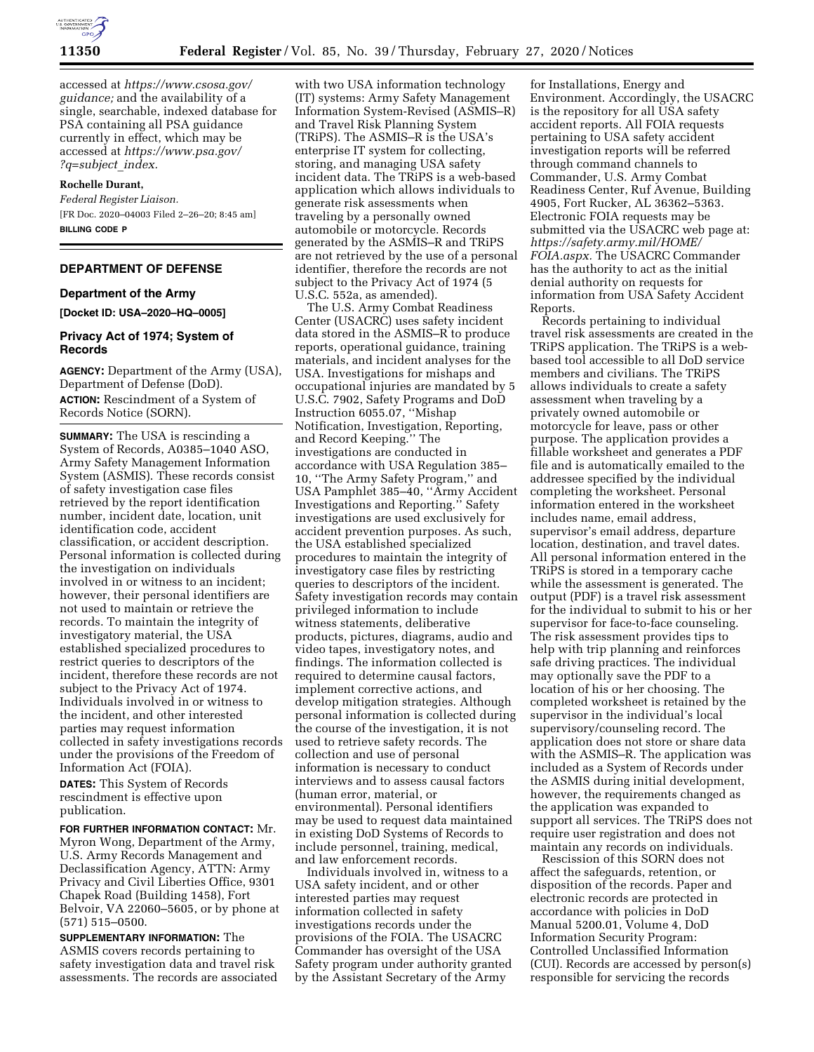

accessed at *[https://www.csosa.gov/](https://www.csosa.gov/guidance)  [guidance;](https://www.csosa.gov/guidance)* and the availability of a single, searchable, indexed database for PSA containing all PSA guidance currently in effect, which may be accessed at *[https://www.psa.gov/](https://www.psa.gov/?q=subject_index)  [?q=subject](https://www.psa.gov/?q=subject_index)*\_*index.* 

#### **Rochelle Durant,**

*Federal Register Liaison.*  [FR Doc. 2020–04003 Filed 2–26–20; 8:45 am] **BILLING CODE P** 

# **DEPARTMENT OF DEFENSE**

## **Department of the Army**

**[Docket ID: USA–2020–HQ–0005]** 

#### **Privacy Act of 1974; System of Records**

**AGENCY:** Department of the Army (USA), Department of Defense (DoD). **ACTION:** Rescindment of a System of Records Notice (SORN).

**SUMMARY:** The USA is rescinding a System of Records, A0385–1040 ASO, Army Safety Management Information System (ASMIS). These records consist of safety investigation case files retrieved by the report identification number, incident date, location, unit identification code, accident classification, or accident description. Personal information is collected during the investigation on individuals involved in or witness to an incident; however, their personal identifiers are not used to maintain or retrieve the records. To maintain the integrity of investigatory material, the USA established specialized procedures to restrict queries to descriptors of the incident, therefore these records are not subject to the Privacy Act of 1974. Individuals involved in or witness to the incident, and other interested parties may request information collected in safety investigations records under the provisions of the Freedom of Information Act (FOIA).

**DATES:** This System of Records rescindment is effective upon publication.

**FOR FURTHER INFORMATION CONTACT:** Mr. Myron Wong, Department of the Army, U.S. Army Records Management and Declassification Agency, ATTN: Army Privacy and Civil Liberties Office, 9301 Chapek Road (Building 1458), Fort Belvoir, VA 22060–5605, or by phone at (571) 515–0500.

**SUPPLEMENTARY INFORMATION:** The ASMIS covers records pertaining to safety investigation data and travel risk assessments. The records are associated

with two USA information technology (IT) systems: Army Safety Management Information System-Revised (ASMIS–R) and Travel Risk Planning System (TRiPS). The ASMIS–R is the USA's enterprise IT system for collecting, storing, and managing USA safety incident data. The TRiPS is a web-based application which allows individuals to generate risk assessments when traveling by a personally owned automobile or motorcycle. Records generated by the ASMIS–R and TRiPS are not retrieved by the use of a personal identifier, therefore the records are not subject to the Privacy Act of 1974 (5 U.S.C. 552a, as amended).

The U.S. Army Combat Readiness Center (USACRC) uses safety incident data stored in the ASMIS–R to produce reports, operational guidance, training materials, and incident analyses for the USA. Investigations for mishaps and occupational injuries are mandated by 5 U.S.C. 7902, Safety Programs and DoD Instruction 6055.07, ''Mishap Notification, Investigation, Reporting, and Record Keeping.'' The investigations are conducted in accordance with USA Regulation 385– 10, ''The Army Safety Program,'' and USA Pamphlet 385–40, ''Army Accident Investigations and Reporting.'' Safety investigations are used exclusively for accident prevention purposes. As such, the USA established specialized procedures to maintain the integrity of investigatory case files by restricting queries to descriptors of the incident. Safety investigation records may contain privileged information to include witness statements, deliberative products, pictures, diagrams, audio and video tapes, investigatory notes, and findings. The information collected is required to determine causal factors, implement corrective actions, and develop mitigation strategies. Although personal information is collected during the course of the investigation, it is not used to retrieve safety records. The collection and use of personal information is necessary to conduct interviews and to assess causal factors (human error, material, or environmental). Personal identifiers may be used to request data maintained in existing DoD Systems of Records to include personnel, training, medical, and law enforcement records.

Individuals involved in, witness to a USA safety incident, and or other interested parties may request information collected in safety investigations records under the provisions of the FOIA. The USACRC Commander has oversight of the USA Safety program under authority granted by the Assistant Secretary of the Army

for Installations, Energy and Environment. Accordingly, the USACRC is the repository for all USA safety accident reports. All FOIA requests pertaining to USA safety accident investigation reports will be referred through command channels to Commander, U.S. Army Combat Readiness Center, Ruf Avenue, Building 4905, Fort Rucker, AL 36362–5363. Electronic FOIA requests may be submitted via the USACRC web page at: *[https://safety.army.mil/HOME/](https://safety.army.mil/HOME/FOIA.aspx) [FOIA.aspx.](https://safety.army.mil/HOME/FOIA.aspx)* The USACRC Commander has the authority to act as the initial denial authority on requests for information from USA Safety Accident Reports.

Records pertaining to individual travel risk assessments are created in the TRiPS application. The TRiPS is a webbased tool accessible to all DoD service members and civilians. The TRiPS allows individuals to create a safety assessment when traveling by a privately owned automobile or motorcycle for leave, pass or other purpose. The application provides a fillable worksheet and generates a PDF file and is automatically emailed to the addressee specified by the individual completing the worksheet. Personal information entered in the worksheet includes name, email address, supervisor's email address, departure location, destination, and travel dates. All personal information entered in the TRiPS is stored in a temporary cache while the assessment is generated. The output (PDF) is a travel risk assessment for the individual to submit to his or her supervisor for face-to-face counseling. The risk assessment provides tips to help with trip planning and reinforces safe driving practices. The individual may optionally save the PDF to a location of his or her choosing. The completed worksheet is retained by the supervisor in the individual's local supervisory/counseling record. The application does not store or share data with the ASMIS–R. The application was included as a System of Records under the ASMIS during initial development, however, the requirements changed as the application was expanded to support all services. The TRiPS does not require user registration and does not maintain any records on individuals.

Rescission of this SORN does not affect the safeguards, retention, or disposition of the records. Paper and electronic records are protected in accordance with policies in DoD Manual 5200.01, Volume 4, DoD Information Security Program: Controlled Unclassified Information (CUI). Records are accessed by person(s) responsible for servicing the records